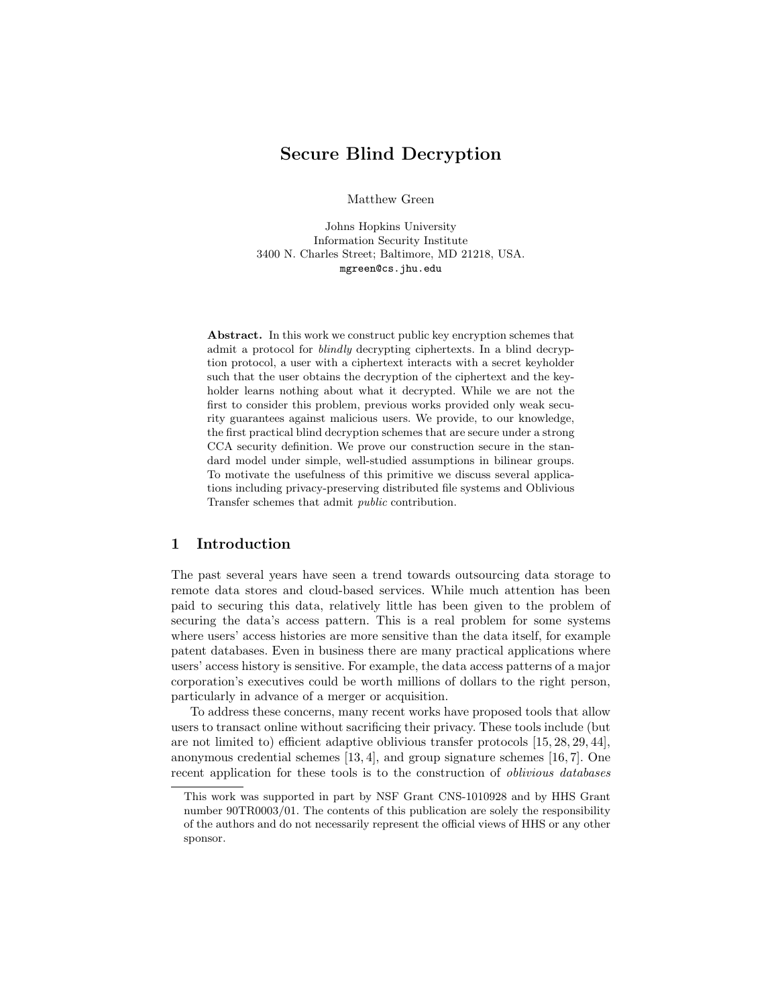# Secure Blind Decryption

Matthew Green

Johns Hopkins University Information Security Institute 3400 N. Charles Street; Baltimore, MD 21218, USA. mgreen@cs.jhu.edu

Abstract. In this work we construct public key encryption schemes that admit a protocol for blindly decrypting ciphertexts. In a blind decryption protocol, a user with a ciphertext interacts with a secret keyholder such that the user obtains the decryption of the ciphertext and the keyholder learns nothing about what it decrypted. While we are not the first to consider this problem, previous works provided only weak security guarantees against malicious users. We provide, to our knowledge, the first practical blind decryption schemes that are secure under a strong CCA security definition. We prove our construction secure in the standard model under simple, well-studied assumptions in bilinear groups. To motivate the usefulness of this primitive we discuss several applications including privacy-preserving distributed file systems and Oblivious Transfer schemes that admit public contribution.

## 1 Introduction

The past several years have seen a trend towards outsourcing data storage to remote data stores and cloud-based services. While much attention has been paid to securing this data, relatively little has been given to the problem of securing the data's access pattern. This is a real problem for some systems where users' access histories are more sensitive than the data itself, for example patent databases. Even in business there are many practical applications where users' access history is sensitive. For example, the data access patterns of a major corporation's executives could be worth millions of dollars to the right person, particularly in advance of a merger or acquisition.

To address these concerns, many recent works have proposed tools that allow users to transact online without sacrificing their privacy. These tools include (but are not limited to) efficient adaptive oblivious transfer protocols [15, 28, 29, 44], anonymous credential schemes [13, 4], and group signature schemes [16, 7]. One recent application for these tools is to the construction of oblivious databases

This work was supported in part by NSF Grant CNS-1010928 and by HHS Grant number 90TR0003/01. The contents of this publication are solely the responsibility of the authors and do not necessarily represent the official views of HHS or any other sponsor.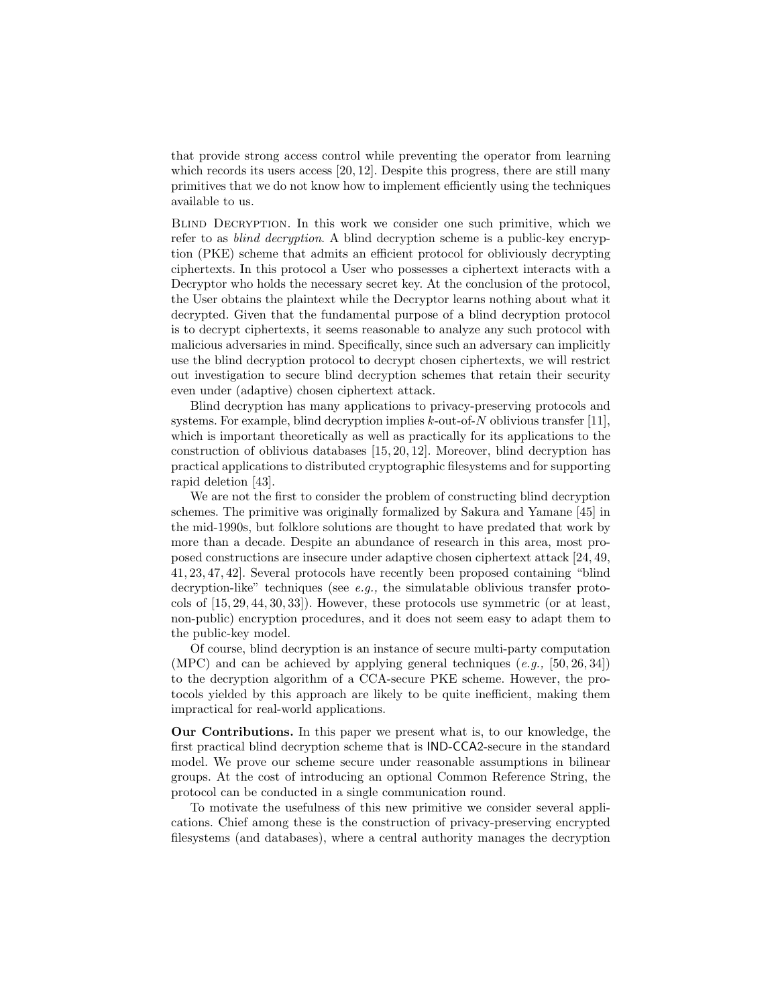that provide strong access control while preventing the operator from learning which records its users access [20, 12]. Despite this progress, there are still many primitives that we do not know how to implement efficiently using the techniques available to us.

Blind Decryption. In this work we consider one such primitive, which we refer to as blind decryption. A blind decryption scheme is a public-key encryption (PKE) scheme that admits an efficient protocol for obliviously decrypting ciphertexts. In this protocol a User who possesses a ciphertext interacts with a Decryptor who holds the necessary secret key. At the conclusion of the protocol, the User obtains the plaintext while the Decryptor learns nothing about what it decrypted. Given that the fundamental purpose of a blind decryption protocol is to decrypt ciphertexts, it seems reasonable to analyze any such protocol with malicious adversaries in mind. Specifically, since such an adversary can implicitly use the blind decryption protocol to decrypt chosen ciphertexts, we will restrict out investigation to secure blind decryption schemes that retain their security even under (adaptive) chosen ciphertext attack.

Blind decryption has many applications to privacy-preserving protocols and systems. For example, blind decryption implies  $k$ -out-of-N oblivious transfer [11], which is important theoretically as well as practically for its applications to the construction of oblivious databases [15, 20, 12]. Moreover, blind decryption has practical applications to distributed cryptographic filesystems and for supporting rapid deletion [43].

We are not the first to consider the problem of constructing blind decryption schemes. The primitive was originally formalized by Sakura and Yamane [45] in the mid-1990s, but folklore solutions are thought to have predated that work by more than a decade. Despite an abundance of research in this area, most proposed constructions are insecure under adaptive chosen ciphertext attack [24, 49, 41, 23, 47, 42]. Several protocols have recently been proposed containing "blind decryption-like" techniques (see e.g., the simulatable oblivious transfer protocols of [15, 29, 44, 30, 33]). However, these protocols use symmetric (or at least, non-public) encryption procedures, and it does not seem easy to adapt them to the public-key model.

Of course, blind decryption is an instance of secure multi-party computation (MPC) and can be achieved by applying general techniques  $(e,q, [50, 26, 34])$ to the decryption algorithm of a CCA-secure PKE scheme. However, the protocols yielded by this approach are likely to be quite inefficient, making them impractical for real-world applications.

Our Contributions. In this paper we present what is, to our knowledge, the first practical blind decryption scheme that is IND-CCA2-secure in the standard model. We prove our scheme secure under reasonable assumptions in bilinear groups. At the cost of introducing an optional Common Reference String, the protocol can be conducted in a single communication round.

To motivate the usefulness of this new primitive we consider several applications. Chief among these is the construction of privacy-preserving encrypted filesystems (and databases), where a central authority manages the decryption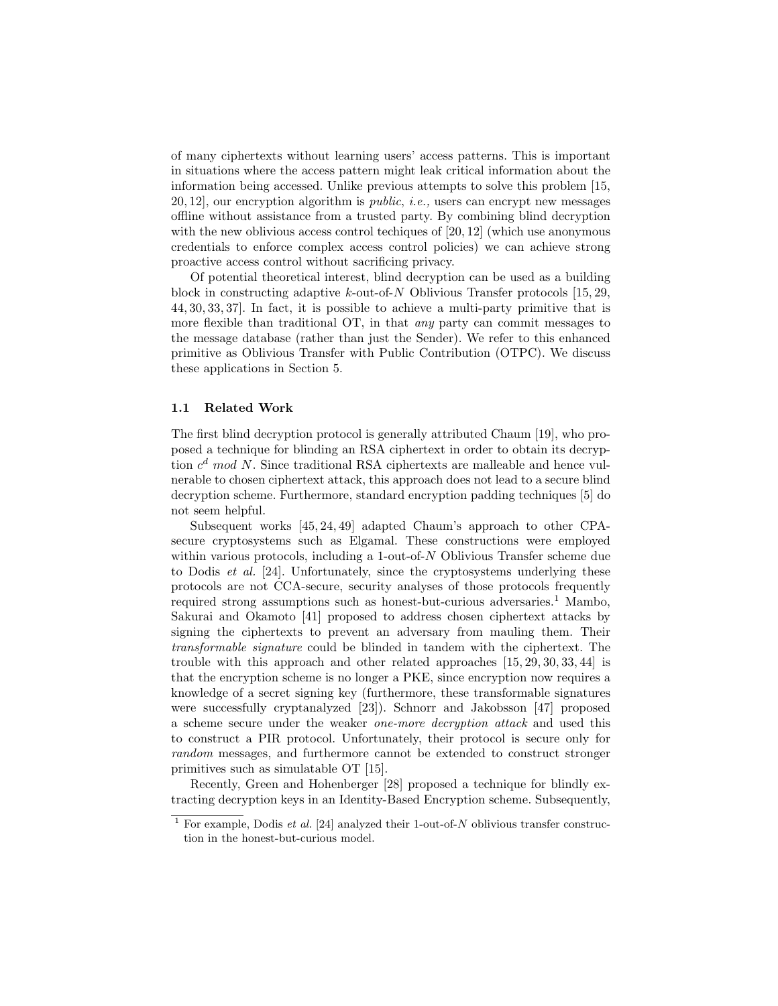of many ciphertexts without learning users' access patterns. This is important in situations where the access pattern might leak critical information about the information being accessed. Unlike previous attempts to solve this problem [15,  $20, 12$ , our encryption algorithm is *public, i.e.*, users can encrypt new messages offline without assistance from a trusted party. By combining blind decryption with the new oblivious access control techiques of [20, 12] (which use anonymous credentials to enforce complex access control policies) we can achieve strong proactive access control without sacrificing privacy.

Of potential theoretical interest, blind decryption can be used as a building block in constructing adaptive  $k$ -out-of-N Oblivious Transfer protocols [15, 29, 44, 30, 33, 37]. In fact, it is possible to achieve a multi-party primitive that is more flexible than traditional OT, in that any party can commit messages to the message database (rather than just the Sender). We refer to this enhanced primitive as Oblivious Transfer with Public Contribution (OTPC). We discuss these applications in Section 5.

#### 1.1 Related Work

The first blind decryption protocol is generally attributed Chaum [19], who proposed a technique for blinding an RSA ciphertext in order to obtain its decryption  $c<sup>d</sup>$  mod N. Since traditional RSA ciphertexts are malleable and hence vulnerable to chosen ciphertext attack, this approach does not lead to a secure blind decryption scheme. Furthermore, standard encryption padding techniques [5] do not seem helpful.

Subsequent works [45, 24, 49] adapted Chaum's approach to other CPAsecure cryptosystems such as Elgamal. These constructions were employed within various protocols, including a 1-out-of-N Oblivious Transfer scheme due to Dodis et al. [24]. Unfortunately, since the cryptosystems underlying these protocols are not CCA-secure, security analyses of those protocols frequently required strong assumptions such as honest-but-curious adversaries.<sup>1</sup> Mambo, Sakurai and Okamoto [41] proposed to address chosen ciphertext attacks by signing the ciphertexts to prevent an adversary from mauling them. Their transformable signature could be blinded in tandem with the ciphertext. The trouble with this approach and other related approaches [15, 29, 30, 33, 44] is that the encryption scheme is no longer a PKE, since encryption now requires a knowledge of a secret signing key (furthermore, these transformable signatures were successfully cryptanalyzed [23]). Schnorr and Jakobsson [47] proposed a scheme secure under the weaker one-more decryption attack and used this to construct a PIR protocol. Unfortunately, their protocol is secure only for random messages, and furthermore cannot be extended to construct stronger primitives such as simulatable OT [15].

Recently, Green and Hohenberger [28] proposed a technique for blindly extracting decryption keys in an Identity-Based Encryption scheme. Subsequently,

<sup>&</sup>lt;sup>1</sup> For example, Dodis *et al.* [24] analyzed their 1-out-of-N oblivious transfer construction in the honest-but-curious model.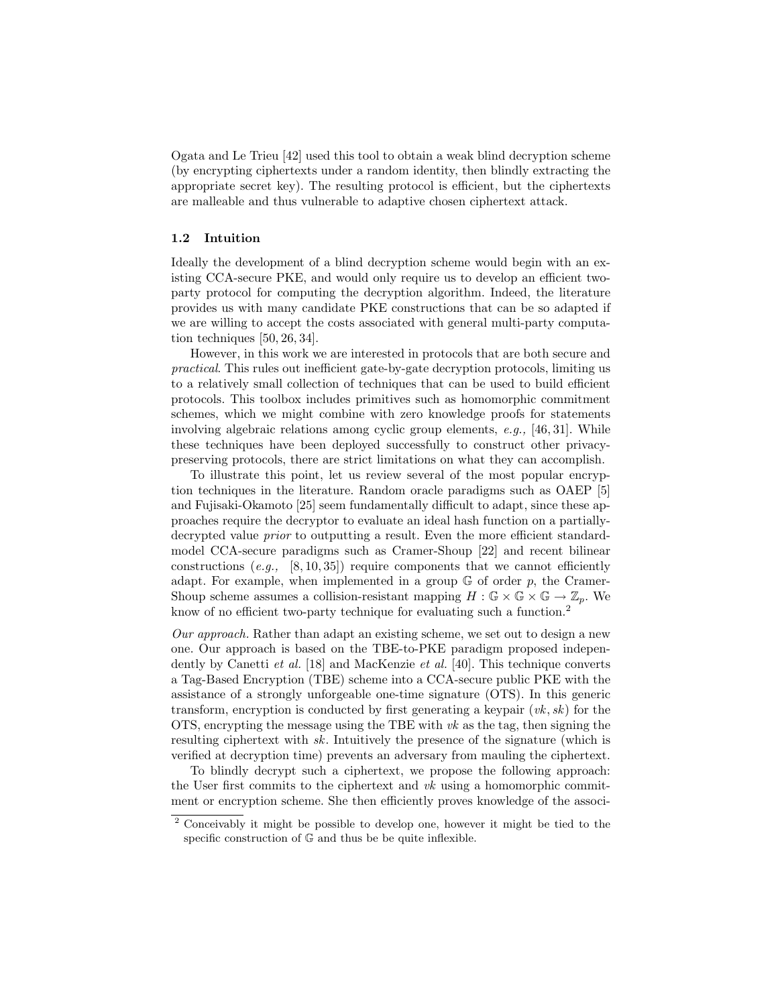Ogata and Le Trieu [42] used this tool to obtain a weak blind decryption scheme (by encrypting ciphertexts under a random identity, then blindly extracting the appropriate secret key). The resulting protocol is efficient, but the ciphertexts are malleable and thus vulnerable to adaptive chosen ciphertext attack.

### 1.2 Intuition

Ideally the development of a blind decryption scheme would begin with an existing CCA-secure PKE, and would only require us to develop an efficient twoparty protocol for computing the decryption algorithm. Indeed, the literature provides us with many candidate PKE constructions that can be so adapted if we are willing to accept the costs associated with general multi-party computation techniques [50, 26, 34].

However, in this work we are interested in protocols that are both secure and practical. This rules out inefficient gate-by-gate decryption protocols, limiting us to a relatively small collection of techniques that can be used to build efficient protocols. This toolbox includes primitives such as homomorphic commitment schemes, which we might combine with zero knowledge proofs for statements involving algebraic relations among cyclic group elements, e.g., [46, 31]. While these techniques have been deployed successfully to construct other privacypreserving protocols, there are strict limitations on what they can accomplish.

To illustrate this point, let us review several of the most popular encryption techniques in the literature. Random oracle paradigms such as OAEP [5] and Fujisaki-Okamoto [25] seem fundamentally difficult to adapt, since these approaches require the decryptor to evaluate an ideal hash function on a partiallydecrypted value *prior* to outputting a result. Even the more efficient standardmodel CCA-secure paradigms such as Cramer-Shoup [22] and recent bilinear constructions  $(e.g., [8, 10, 35])$  require components that we cannot efficiently adapt. For example, when implemented in a group  $\mathbb G$  of order p, the Cramer-Shoup scheme assumes a collision-resistant mapping  $H : \mathbb{G} \times \mathbb{G} \times \mathbb{G} \to \mathbb{Z}_n$ . We know of no efficient two-party technique for evaluating such a function.<sup>2</sup>

Our approach. Rather than adapt an existing scheme, we set out to design a new one. Our approach is based on the TBE-to-PKE paradigm proposed independently by Canetti *et al.* [18] and MacKenzie *et al.* [40]. This technique converts a Tag-Based Encryption (TBE) scheme into a CCA-secure public PKE with the assistance of a strongly unforgeable one-time signature (OTS). In this generic transform, encryption is conducted by first generating a keypair  $(vk, sk)$  for the OTS, encrypting the message using the TBE with  $vk$  as the tag, then signing the resulting ciphertext with sk. Intuitively the presence of the signature (which is verified at decryption time) prevents an adversary from mauling the ciphertext.

To blindly decrypt such a ciphertext, we propose the following approach: the User first commits to the ciphertext and  $vk$  using a homomorphic commitment or encryption scheme. She then efficiently proves knowledge of the associ-

<sup>2</sup> Conceivably it might be possible to develop one, however it might be tied to the specific construction of G and thus be be quite inflexible.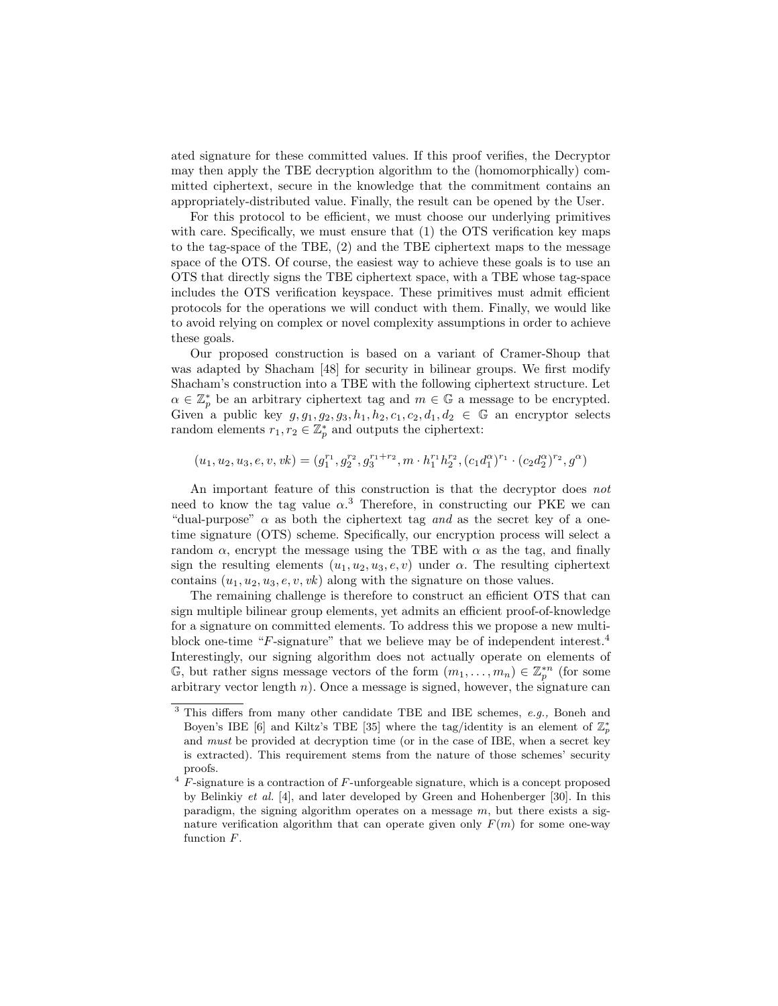ated signature for these committed values. If this proof verifies, the Decryptor may then apply the TBE decryption algorithm to the (homomorphically) committed ciphertext, secure in the knowledge that the commitment contains an appropriately-distributed value. Finally, the result can be opened by the User.

For this protocol to be efficient, we must choose our underlying primitives with care. Specifically, we must ensure that (1) the OTS verification key maps to the tag-space of the TBE, (2) and the TBE ciphertext maps to the message space of the OTS. Of course, the easiest way to achieve these goals is to use an OTS that directly signs the TBE ciphertext space, with a TBE whose tag-space includes the OTS verification keyspace. These primitives must admit efficient protocols for the operations we will conduct with them. Finally, we would like to avoid relying on complex or novel complexity assumptions in order to achieve these goals.

Our proposed construction is based on a variant of Cramer-Shoup that was adapted by Shacham [48] for security in bilinear groups. We first modify Shacham's construction into a TBE with the following ciphertext structure. Let  $\alpha \in \mathbb{Z}_p^*$  be an arbitrary ciphertext tag and  $m \in \mathbb{G}$  a message to be encrypted. Given a public key  $g, g_1, g_2, g_3, h_1, h_2, c_1, c_2, d_1, d_2 \in \mathbb{G}$  an encryptor selects random elements  $r_1, r_2 \in \mathbb{Z}_p^*$  and outputs the ciphertext:

$$
(u_1,u_2,u_3,e,v,vk)=(g_1^{r_1},g_2^{r_2},g_3^{r_1+r_2},m\cdot h_1^{r_1}h_2^{r_2}, (c_1d_1^\alpha)^{r_1}\cdot (c_2d_2^\alpha)^{r_2},g^\alpha)
$$

An important feature of this construction is that the decryptor does not need to know the tag value  $\alpha$ <sup>3</sup> Therefore, in constructing our PKE we can "dual-purpose"  $\alpha$  as both the ciphertext tag and as the secret key of a onetime signature (OTS) scheme. Specifically, our encryption process will select a random  $\alpha$ , encrypt the message using the TBE with  $\alpha$  as the tag, and finally sign the resulting elements  $(u_1, u_2, u_3, e, v)$  under  $\alpha$ . The resulting ciphertext contains  $(u_1, u_2, u_3, e, v, vk)$  along with the signature on those values.

The remaining challenge is therefore to construct an efficient OTS that can sign multiple bilinear group elements, yet admits an efficient proof-of-knowledge for a signature on committed elements. To address this we propose a new multiblock one-time "F-signature" that we believe may be of independent interest.<sup>4</sup> Interestingly, our signing algorithm does not actually operate on elements of  $\mathbb{G}$ , but rather signs message vectors of the form  $(m_1, \ldots, m_n) \in \mathbb{Z}_p^{*n}$  (for some arbitrary vector length  $n$ ). Once a message is signed, however, the signature can

<sup>&</sup>lt;sup>3</sup> This differs from many other candidate TBE and IBE schemes, e.g., Boneh and Boyen's IBE [6] and Kiltz's TBE [35] where the tag/identity is an element of  $\mathbb{Z}_p^*$ and must be provided at decryption time (or in the case of IBE, when a secret key is extracted). This requirement stems from the nature of those schemes' security proofs.

 $4 \frac{1}{F}$ -signature is a contraction of F-unforgeable signature, which is a concept proposed by Belinkiy et al. [4], and later developed by Green and Hohenberger [30]. In this paradigm, the signing algorithm operates on a message  $m$ , but there exists a signature verification algorithm that can operate given only  $F(m)$  for some one-way function F.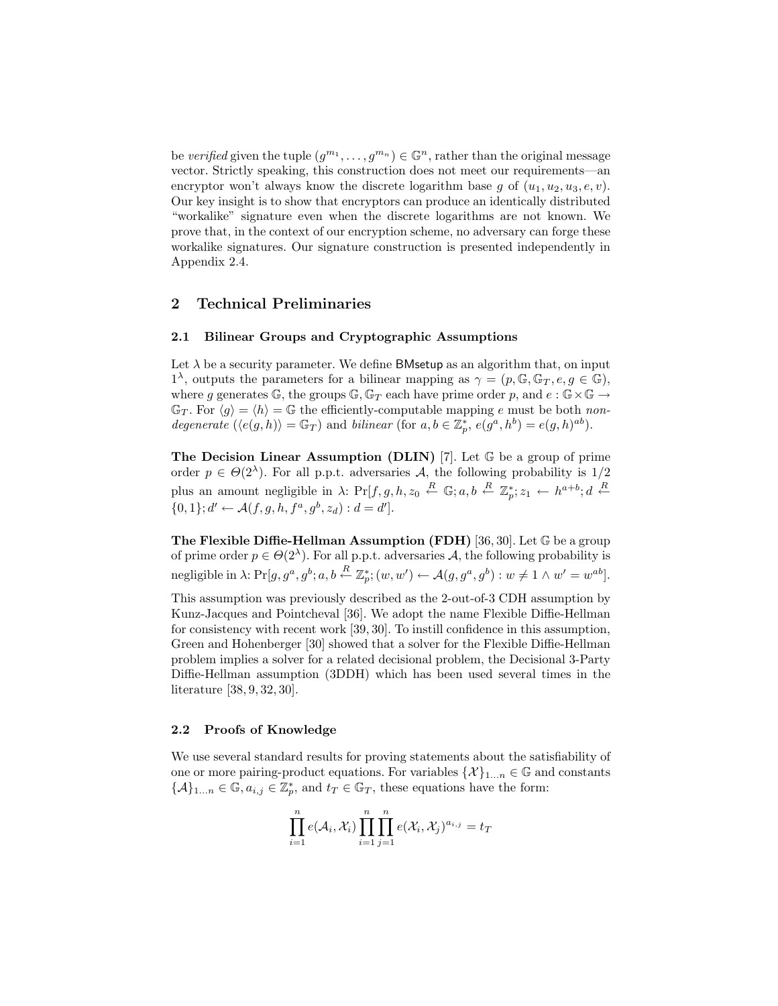be verified given the tuple  $(g^{m_1}, \ldots, g^{m_n}) \in \mathbb{G}^n$ , rather than the original message vector. Strictly speaking, this construction does not meet our requirements—an encryptor won't always know the discrete logarithm base g of  $(u_1, u_2, u_3, e, v)$ . Our key insight is to show that encryptors can produce an identically distributed "workalike" signature even when the discrete logarithms are not known. We prove that, in the context of our encryption scheme, no adversary can forge these workalike signatures. Our signature construction is presented independently in Appendix 2.4.

## 2 Technical Preliminaries

#### 2.1 Bilinear Groups and Cryptographic Assumptions

Let  $\lambda$  be a security parameter. We define BMsetup as an algorithm that, on input 1<sup> $\lambda$ </sup>, outputs the parameters for a bilinear mapping as  $\gamma = (p, \mathbb{G}, \mathbb{G}_T, e, g \in \mathbb{G})$ , where g generates G, the groups G,  $\mathbb{G}_T$  each have prime order p, and  $e : \mathbb{G} \times \mathbb{G} \to$  $\mathbb{G}_T$ . For  $\langle g \rangle = \langle h \rangle = \mathbb{G}$  the efficiently-computable mapping e must be both nondegenerate  $(\langle e(g, h) \rangle = \mathbb{G}_T)$  and bilinear (for  $a, b \in \mathbb{Z}_p^*$ ,  $e(g^a, h^b) = e(g, h)^{ab}$ ).

The Decision Linear Assumption (DLIN) [7]. Let G be a group of prime order  $p \in \Theta(2^{\lambda})$ . For all p.p.t. adversaries A, the following probability is  $1/2$ plus an amount negligible in  $\lambda$ : Pr[f, g, h, z<sub>0</sub>  $\stackrel{R}{\leftarrow} \mathbb{G}$ ; a, b  $\stackrel{R}{\leftarrow} \mathbb{Z}_p^*$ ;  $z_1 \leftarrow h^{a+b}$ ; d  $\stackrel{R}{\leftarrow}$  $\{0,1\}; d' \leftarrow \mathcal{A}(f, g, h, f^a, g^b, z_d) : d = d']$ .

The Flexible Diffie-Hellman Assumption (FDH) [36, 30]. Let G be a group of prime order  $p \in \Theta(2^{\lambda})$ . For all p.p.t. adversaries A, the following probability is negligible in  $\lambda$ : Pr[ $g, g^a, g^b$ ;  $a, b \stackrel{R}{\leftarrow} \mathbb{Z}_p^*$ ;  $(w, w') \leftarrow \mathcal{A}(g, g^a, g^b) : w \neq 1 \wedge w' = w^{ab}$ ].

This assumption was previously described as the 2-out-of-3 CDH assumption by Kunz-Jacques and Pointcheval [36]. We adopt the name Flexible Diffie-Hellman for consistency with recent work [39, 30]. To instill confidence in this assumption, Green and Hohenberger [30] showed that a solver for the Flexible Diffie-Hellman problem implies a solver for a related decisional problem, the Decisional 3-Party Diffie-Hellman assumption (3DDH) which has been used several times in the literature [38, 9, 32, 30].

#### 2.2 Proofs of Knowledge

We use several standard results for proving statements about the satisfiability of one or more pairing-product equations. For variables  $\{\mathcal{X}\}_{1...n} \in \mathbb{G}$  and constants  $\{\mathcal{A}\}_{1...n} \in \mathbb{G}, a_{i,j} \in \mathbb{Z}_p^*$ , and  $t_T \in \mathbb{G}_T$ , these equations have the form:

$$
\prod_{i=1}^{n} e(\mathcal{A}_i, \mathcal{X}_i) \prod_{i=1}^{n} \prod_{j=1}^{n} e(\mathcal{X}_i, \mathcal{X}_j)^{a_{i,j}} = t_T
$$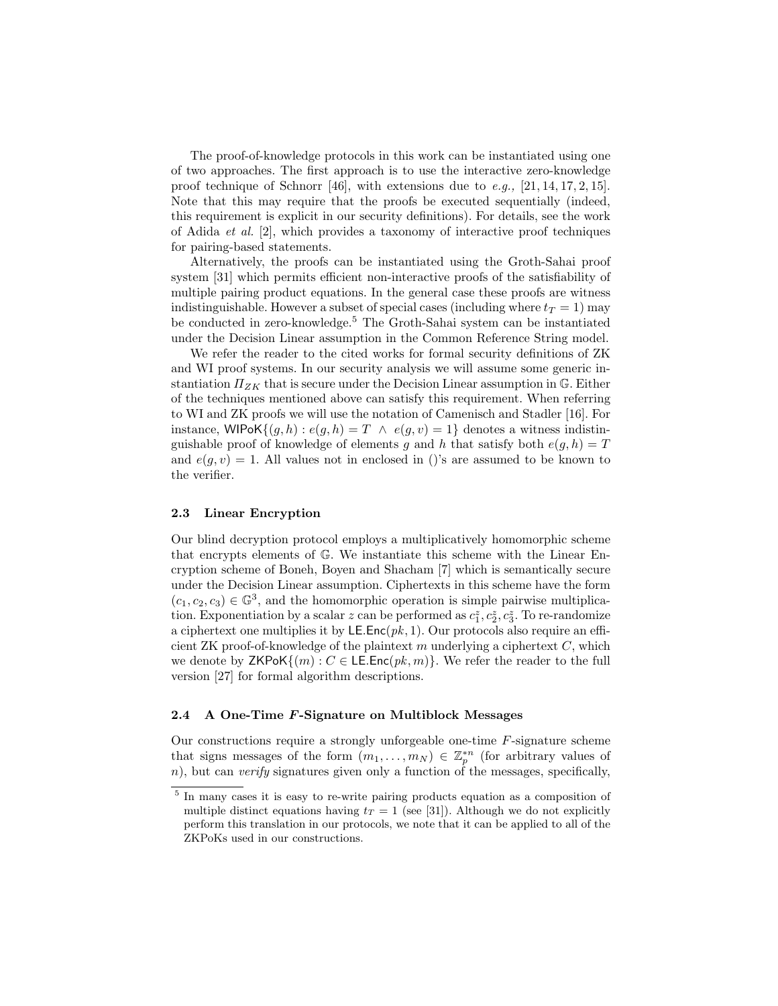The proof-of-knowledge protocols in this work can be instantiated using one of two approaches. The first approach is to use the interactive zero-knowledge proof technique of Schnorr [46], with extensions due to  $e.g.,$  [21, 14, 17, 2, 15]. Note that this may require that the proofs be executed sequentially (indeed, this requirement is explicit in our security definitions). For details, see the work of Adida *et al.* [2], which provides a taxonomy of interactive proof techniques for pairing-based statements.

Alternatively, the proofs can be instantiated using the Groth-Sahai proof system [31] which permits efficient non-interactive proofs of the satisfiability of multiple pairing product equations. In the general case these proofs are witness indistinguishable. However a subset of special cases (including where  $t_T = 1$ ) may be conducted in zero-knowledge.<sup>5</sup> The Groth-Sahai system can be instantiated under the Decision Linear assumption in the Common Reference String model.

We refer the reader to the cited works for formal security definitions of ZK and WI proof systems. In our security analysis we will assume some generic instantiation  $\Pi_{ZK}$  that is secure under the Decision Linear assumption in G. Either of the techniques mentioned above can satisfy this requirement. When referring to WI and ZK proofs we will use the notation of Camenisch and Stadler [16]. For instance, WIPoK $\{(g, h) : e(g, h) = T \land e(g, v) = 1\}$  denotes a witness indistinguishable proof of knowledge of elements g and h that satisfy both  $e(q, h) = T$ and  $e(g, v) = 1$ . All values not in enclosed in ()'s are assumed to be known to the verifier.

#### 2.3 Linear Encryption

Our blind decryption protocol employs a multiplicatively homomorphic scheme that encrypts elements of G. We instantiate this scheme with the Linear Encryption scheme of Boneh, Boyen and Shacham [7] which is semantically secure under the Decision Linear assumption. Ciphertexts in this scheme have the form  $(c_1, c_2, c_3) \in \mathbb{G}^3$ , and the homomorphic operation is simple pairwise multiplication. Exponentiation by a scalar z can be performed as  $c_1^z, c_2^z, c_3^z$ . To re-randomize a ciphertext one multiplies it by  $LEEnc(pk, 1)$ . Our protocols also require an efficient ZK proof-of-knowledge of the plaintext  $m$  underlying a ciphertext  $C$ , which we denote by  $\mathsf{ZKPoK}\{(m): C \in \mathsf{LE}.\mathsf{Enc}(pk, m)\}.$  We refer the reader to the full version [27] for formal algorithm descriptions.

#### 2.4 A One-Time F-Signature on Multiblock Messages

Our constructions require a strongly unforgeable one-time  $F$ -signature scheme that signs messages of the form  $(m_1, \ldots, m_N) \in \mathbb{Z}_p^{*n}$  (for arbitrary values of n), but can verify signatures given only a function of the messages, specifically,

<sup>&</sup>lt;sup>5</sup> In many cases it is easy to re-write pairing products equation as a composition of multiple distinct equations having  $t_T = 1$  (see [31]). Although we do not explicitly perform this translation in our protocols, we note that it can be applied to all of the ZKPoKs used in our constructions.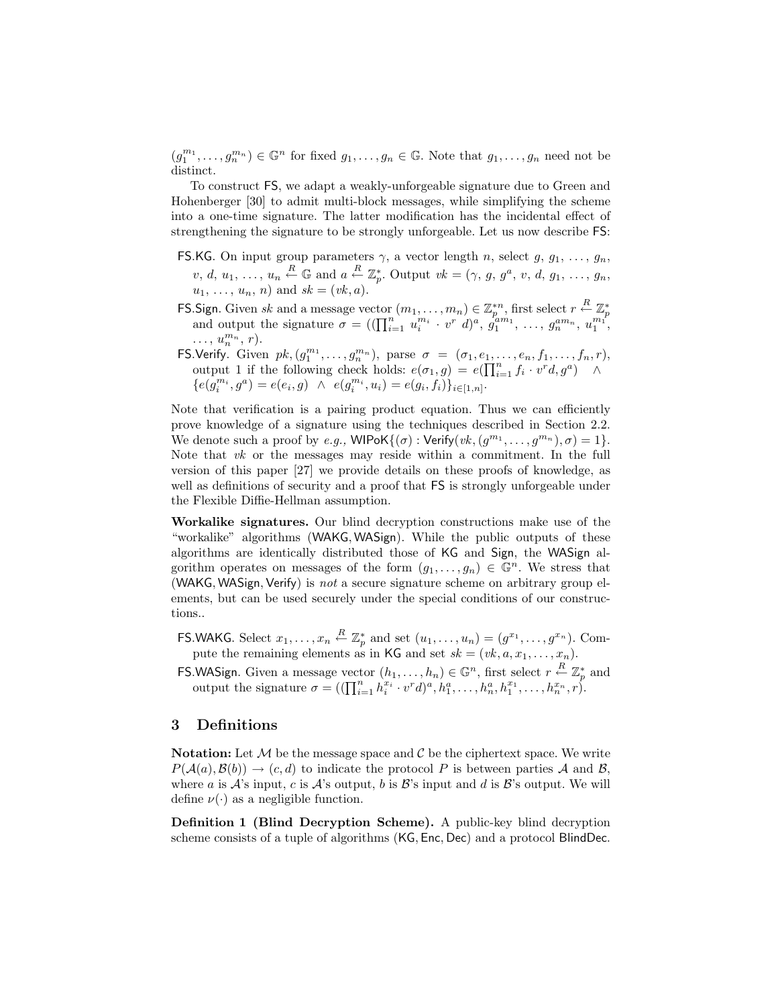$(g_1^{m_1},\ldots,g_n^{m_n})\in\mathbb{G}^n$  for fixed  $g_1,\ldots,g_n\in\mathbb{G}$ . Note that  $g_1,\ldots,g_n$  need not be distinct.

To construct FS, we adapt a weakly-unforgeable signature due to Green and Hohenberger [30] to admit multi-block messages, while simplifying the scheme into a one-time signature. The latter modification has the incidental effect of strengthening the signature to be strongly unforgeable. Let us now describe FS:

- **FS.KG.** On input group parameters  $\gamma$ , a vector length n, select  $g$ ,  $g_1$ , ...,  $g_n$ ,  $v, d, u_1, \ldots, u_n \stackrel{R}{\leftarrow} \mathbb{G}$  and  $a \stackrel{R}{\leftarrow} \mathbb{Z}_p^*$ . Output  $vk = (\gamma, g, g^a, v, d, g_1, \ldots, g_n,$  $u_1, \ldots, u_n, n$  and  $sk = (vk, a)$ .
- **FS.Sign.** Given sk and a message vector  $(m_1, ..., m_n) \in \mathbb{Z}_p^{*n}$ , first select  $r \stackrel{R}{\leftarrow} \mathbb{Z}_p^*$  and output the signature  $\sigma = ((\prod_{i=1}^n u_i^{m_i} \cdot v^r d)^a, g_1^{a m_1}, ..., g_n^{a m_n}, u_1^{m_1},$  $\ldots, u_n^{m_n}, r$ .
- FS. Verify. Given  $pk$ ,  $(g_1^{m_1}, \ldots, g_n^{m_n})$ , parse  $\sigma = (\sigma_1, e_1, \ldots, e_n, f_1, \ldots, f_n, r)$ , output 1 if the following check holds:  $e(\sigma_1, g) = e(\prod_{i=1}^n f_i \cdot v^r d, g^a)$  ${e(g_i^{m_i}, g^a) = e(e_i, g) \land e(g_i^{m_i}, u_i) = e(g_i, f_i)}_{i \in [1, n]}.$

Note that verification is a pairing product equation. Thus we can efficiently prove knowledge of a signature using the techniques described in Section 2.2. We denote such a proof by e.g.,  $\text{WIPoK}\{(\sigma) : \text{Verify}(vk, (g^{m_1}, \ldots, g^{m_n}), \sigma) = 1\}.$ Note that vk or the messages may reside within a commitment. In the full version of this paper [27] we provide details on these proofs of knowledge, as well as definitions of security and a proof that  $FS$  is strongly unforgeable under the Flexible Diffie-Hellman assumption.

Workalike signatures. Our blind decryption constructions make use of the "workalike" algorithms (WAKG, WASign). While the public outputs of these algorithms are identically distributed those of KG and Sign, the WASign algorithm operates on messages of the form  $(g_1, \ldots, g_n) \in \mathbb{G}^n$ . We stress that (WAKG, WASign, Verify) is not a secure signature scheme on arbitrary group elements, but can be used securely under the special conditions of our constructions..

- **FS.WAKG.** Select  $x_1, \ldots, x_n \stackrel{R}{\leftarrow} \mathbb{Z}_p^*$  and set  $(u_1, \ldots, u_n) = (g^{x_1}, \ldots, g^{x_n})$ . Compute the remaining elements as in KG and set  $sk = (vk, a, x_1, \ldots, x_n)$ .
- **FS.WASign.** Given a message vector  $(h_1, \ldots, h_n) \in \mathbb{G}^n$ , first select  $r \stackrel{R}{\leftarrow} \mathbb{Z}_p^*$  and output the signature  $\sigma = ((\prod_{i=1}^n h_i^{x_i} \cdot v^r d)^a, h_1^a, \ldots, h_n^a, h_1^{x_1}, \ldots, h_n^{x_n}, r)$ .

### 3 Definitions

**Notation:** Let  $M$  be the message space and  $C$  be the ciphertext space. We write  $P(A(a), B(b)) \rightarrow (c, d)$  to indicate the protocol P is between parties A and B, where a is  $\mathcal{A}$ 's input, c is  $\mathcal{A}$ 's output, b is  $\mathcal{B}$ 's input and d is  $\mathcal{B}$ 's output. We will define  $\nu(\cdot)$  as a negligible function.

Definition 1 (Blind Decryption Scheme). A public-key blind decryption scheme consists of a tuple of algorithms (KG, Enc, Dec) and a protocol BlindDec.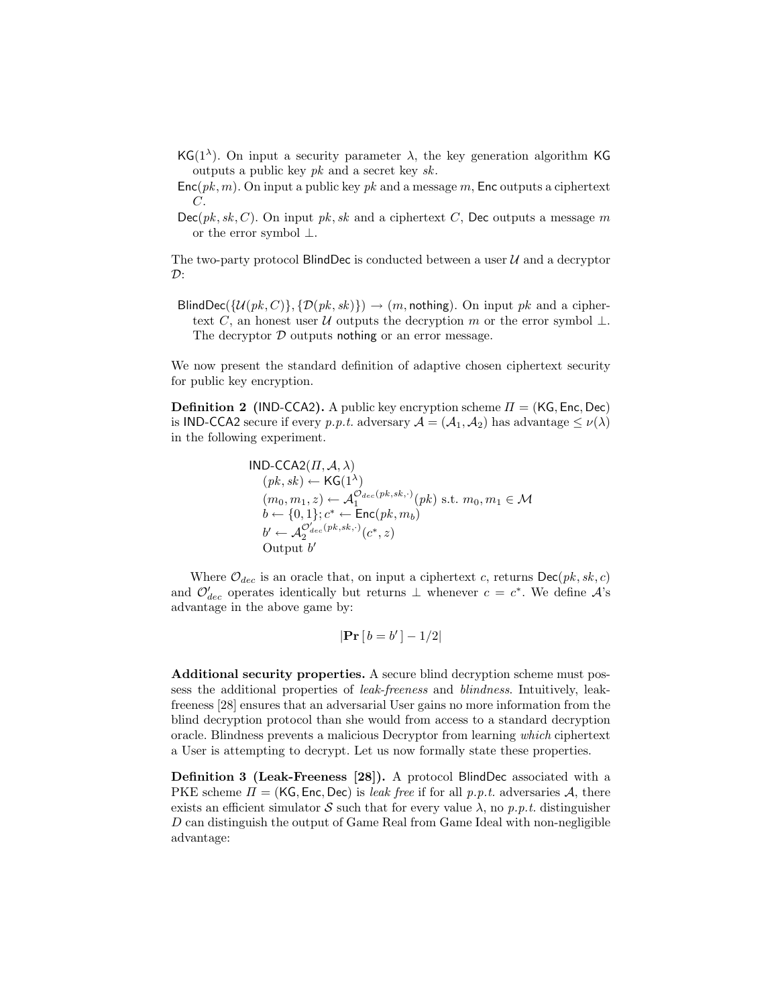KG( $1^{\lambda}$ ). On input a security parameter  $\lambda$ , the key generation algorithm KG outputs a public key  $pk$  and a secret key  $sk$ .

 $Enc(pk, m)$ . On input a public key pk and a message m, Enc outputs a ciphertext C.

 $Dec(pk, sk, C)$ . On input pk, sk and a ciphertext C, Dec outputs a message m or the error symbol ⊥.

The two-party protocol BlindDec is conducted between a user  $U$  and a decryptor  $\mathcal{D}$ :

 $B$ lindDec({ $\mathcal{U}(pk, C)$ }, { $\mathcal{D}(pk, sk)$ })  $\rightarrow$  (*m*, nothing). On input pk and a ciphertext C, an honest user U outputs the decryption m or the error symbol  $\bot$ . The decryptor  $D$  outputs nothing or an error message.

We now present the standard definition of adaptive chosen ciphertext security for public key encryption.

**Definition 2** (IND-CCA2). A public key encryption scheme  $\Pi = (KG, Enc, Dec)$ is IND-CCA2 secure if every p.p.t. adversary  $\mathcal{A} = (\mathcal{A}_1, \mathcal{A}_2)$  has advantage  $\leq \nu(\lambda)$ in the following experiment.

$$
IND-CCA2(\Pi, \mathcal{A}, \lambda)
$$
  
\n
$$
(pk, sk) \leftarrow KG(1^{\lambda})
$$
  
\n
$$
(m_0, m_1, z) \leftarrow \mathcal{A}_1^{O_{dec}(pk, sk, \cdot)}(pk) \text{ s.t. } m_0, m_1 \in \mathcal{M}
$$
  
\n
$$
b \leftarrow \{0, 1\}; c^* \leftarrow \text{Enc}(pk, m_b)
$$
  
\n
$$
b' \leftarrow \mathcal{A}_2^{O'_{dec}(pk, sk, \cdot)}(c^*, z)
$$
  
\nOutput  $b'$ 

Where  $\mathcal{O}_{dec}$  is an oracle that, on input a ciphertext c, returns  $\mathsf{Dec}(pk, sk, c)$ and  $\mathcal{O}_{dec}$  operates identically but returns  $\perp$  whenever  $c = c^*$ . We define  $\mathcal{A}$ 's advantage in the above game by:

$$
|\mathbf{Pr}\left[\,b = b'\,\right] - 1/2|
$$

Additional security properties. A secure blind decryption scheme must possess the additional properties of leak-freeness and blindness. Intuitively, leakfreeness [28] ensures that an adversarial User gains no more information from the blind decryption protocol than she would from access to a standard decryption oracle. Blindness prevents a malicious Decryptor from learning which ciphertext a User is attempting to decrypt. Let us now formally state these properties.

Definition 3 (Leak-Freeness [28]). A protocol BlindDec associated with a PKE scheme  $\Pi = (KG, Enc, Dec)$  is *leak free* if for all p.p.t. adversaries A, there exists an efficient simulator S such that for every value  $\lambda$ , no p.p.t. distinguisher D can distinguish the output of Game Real from Game Ideal with non-negligible advantage: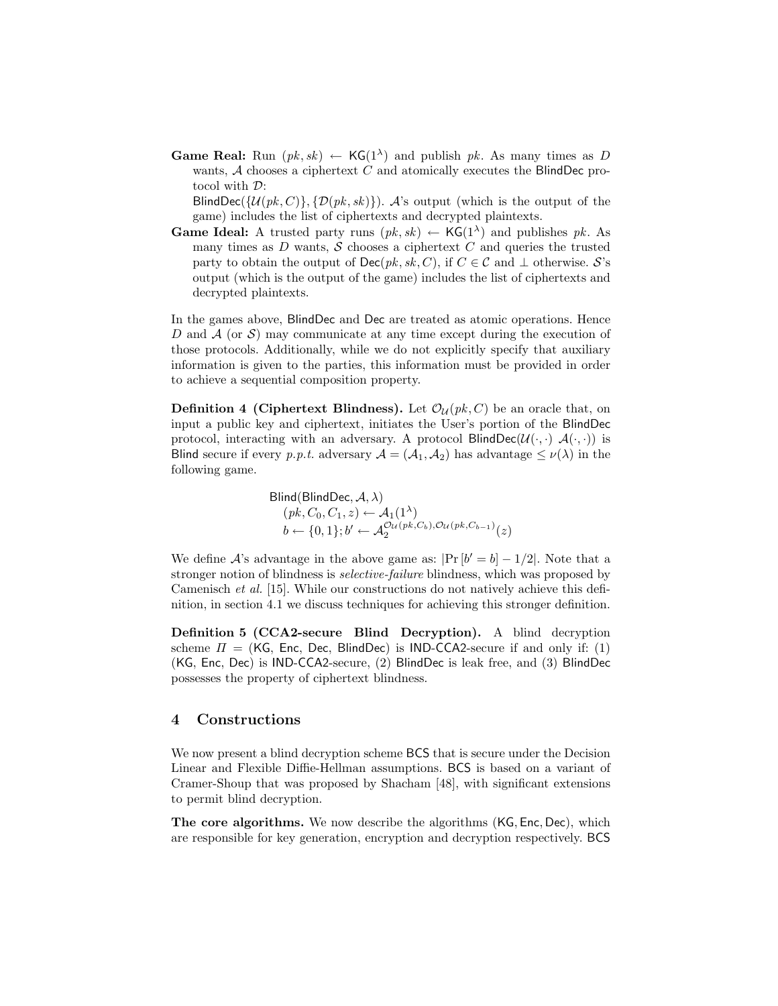**Game Real:** Run  $(pk, sk) \leftarrow {\sf KG}(1^{\lambda})$  and publish pk. As many times as D wants,  $A$  chooses a ciphertext  $C$  and atomically executes the BlindDec protocol with D:

BlindDec( $\{U(pk, C)\}, \{D(pk, sk)\}\$ ). A's output (which is the output of the game) includes the list of ciphertexts and decrypted plaintexts.

**Game Ideal:** A trusted party runs  $(pk, sk) \leftarrow {\sf KG}(1^{\lambda})$  and publishes pk. As many times as  $D$  wants,  $S$  chooses a ciphertext  $C$  and queries the trusted party to obtain the output of  $\mathsf{Dec}(pk, sk, C)$ , if  $C \in \mathcal{C}$  and  $\perp$  otherwise.  $\mathcal{S}'s$ output (which is the output of the game) includes the list of ciphertexts and decrypted plaintexts.

In the games above, BlindDec and Dec are treated as atomic operations. Hence D and  $A$  (or  $S$ ) may communicate at any time except during the execution of those protocols. Additionally, while we do not explicitly specify that auxiliary information is given to the parties, this information must be provided in order to achieve a sequential composition property.

**Definition 4 (Ciphertext Blindness).** Let  $\mathcal{O}_\mathcal{U}(pk, C)$  be an oracle that, on input a public key and ciphertext, initiates the User's portion of the BlindDec protocol, interacting with an adversary. A protocol BlindDec( $\mathcal{U}(\cdot, \cdot)$   $\mathcal{A}(\cdot, \cdot)$ ) is Blind secure if every p.p.t. adversary  $\mathcal{A} = (\mathcal{A}_1, \mathcal{A}_2)$  has advantage  $\leq \nu(\lambda)$  in the following game.

> Blind(BlindDec,  $A, \lambda$ )  $(pk, C_0, C_1, z) \leftarrow \mathcal{A}_1(1^{\lambda})$  $b \leftarrow \{0,1\}; b' \leftarrow \mathcal{A}_2^{\mathcal{O}_\mathcal{U}(pk, C_b), \mathcal{O}_\mathcal{U}(pk, C_{b-1})}(z)$

We define  $\mathcal{A}$ 's advantage in the above game as:  $|\Pr[b' = b] - 1/2|$ . Note that a stronger notion of blindness is selective-failure blindness, which was proposed by Camenisch et al. [15]. While our constructions do not natively achieve this definition, in section 4.1 we discuss techniques for achieving this stronger definition.

Definition 5 (CCA2-secure Blind Decryption). A blind decryption scheme  $\Pi = (K\mathsf{G}, \mathsf{Enc}, \mathsf{Dec}, \mathsf{BlindDec})$  is IND-CCA2-secure if and only if: (1) (KG, Enc, Dec) is IND-CCA2-secure, (2) BlindDec is leak free, and (3) BlindDec possesses the property of ciphertext blindness.

## 4 Constructions

We now present a blind decryption scheme BCS that is secure under the Decision Linear and Flexible Diffie-Hellman assumptions. BCS is based on a variant of Cramer-Shoup that was proposed by Shacham [48], with significant extensions to permit blind decryption.

The core algorithms. We now describe the algorithms (KG, Enc, Dec), which are responsible for key generation, encryption and decryption respectively. BCS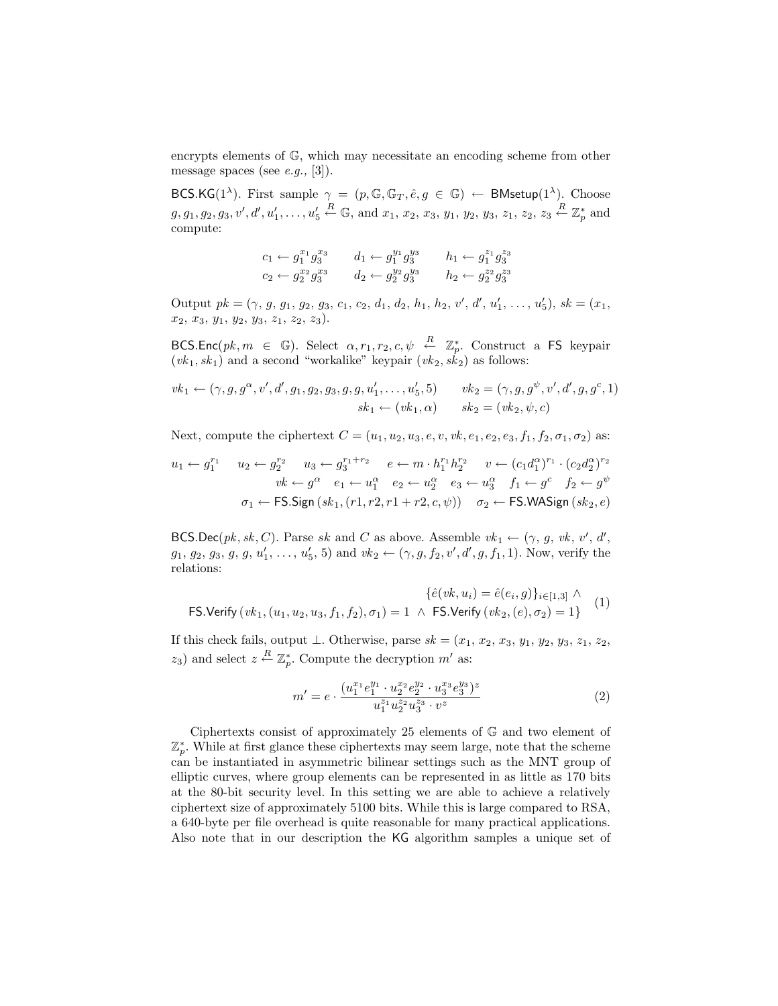encrypts elements of G, which may necessitate an encoding scheme from other message spaces (see  $e.g., [3]$ ).

BCS.KG(1<sup> $\lambda$ </sup>). First sample  $\gamma = (p, \mathbb{G}, \mathbb{G}_T, \hat{e}, g \in \mathbb{G}) \leftarrow \text{BMsetup}(1^{\lambda})$ . Choose  $g, g_1, g_2, g_3, v', d', u'_1, \ldots, u'_5 \stackrel{R}{\leftarrow} \mathbb{G}$ , and  $x_1, x_2, x_3, y_1, y_2, y_3, z_1, z_2, z_3 \stackrel{R}{\leftarrow} \mathbb{Z}_p^*$  and compute:

$$
\begin{array}{ccc}\nc_1 \leftarrow g_1^{x_1} g_3^{x_3} & d_1 \leftarrow g_1^{y_1} g_3^{y_3} & h_1 \leftarrow g_1^{z_1} g_3^{z_3} \\
c_2 \leftarrow g_2^{x_2} g_3^{x_3} & d_2 \leftarrow g_2^{y_2} g_3^{y_3} & h_2 \leftarrow g_2^{z_2} g_3^{z_3}\n\end{array}
$$

Output  $pk = (\gamma, g, g_1, g_2, g_3, c_1, c_2, d_1, d_2, h_1, h_2, v', d', u'_1, \ldots, u'_5), sk = (x_1,$  $x_2, x_3, y_1, y_2, y_3, z_1, z_2, z_3$ .

BCS.Enc $(pk, m \in \mathbb{G})$ . Select  $\alpha, r_1, r_2, c, \psi \leftarrow \mathbb{Z}_p^*$ . Construct a FS keypair  $(vk_1, sk_1)$  and a second "workalike" keypair  $(vk_2, sk_2)$  as follows:

$$
vk_1 \leftarrow (\gamma, g, g^{\alpha}, v', d', g_1, g_2, g_3, g, g, u'_1, \dots, u'_5, 5) \qquad vk_2 = (\gamma, g, g^{\psi}, v', d', g, g^c, 1)
$$
  

$$
sk_1 \leftarrow (vk_1, \alpha) \qquad sk_2 = (vk_2, \psi, c)
$$

Next, compute the ciphertext  $C = (u_1, u_2, u_3, e, v, vk, e_1, e_2, e_3, f_1, f_2, \sigma_1, \sigma_2)$  as:

$$
u_1 \leftarrow g_1^{r_1} \qquad u_2 \leftarrow g_2^{r_2} \qquad u_3 \leftarrow g_3^{r_1+r_2} \qquad e \leftarrow m \cdot h_1^{r_1} h_2^{r_2} \qquad v \leftarrow (c_1 d_1^{\alpha})^{r_1} \cdot (c_2 d_2^{\alpha})^{r_2}
$$

$$
vk \leftarrow g^{\alpha} \qquad e_1 \leftarrow u_1^{\alpha} \qquad e_2 \leftarrow u_2^{\alpha} \qquad e_3 \leftarrow u_3^{\alpha} \qquad f_1 \leftarrow g^c \qquad f_2 \leftarrow g^{\psi}
$$

$$
\sigma_1 \leftarrow \text{FS.Sign}(sk_1, (r1, r2, r1 + r2, c, \psi)) \qquad \sigma_2 \leftarrow \text{FS.WASign}(sk_2, e)
$$

BCS.Dec(*pk*, sk, C). Parse sk and C as above. Assemble  $vk_1 \leftarrow (\gamma, g, vk, v', d',$  $g_1, g_2, g_3, g, g, u'_1, \ldots, u'_5, 5$  and  $vk_2 \leftarrow (\gamma, g, f_2, v', d', g, f_1, 1)$ . Now, verify the relations:

$$
\{\hat{e}(vk, u_i) = \hat{e}(e_i, g)\}_{i \in [1,3]} \wedge
$$
  
FS.Verify  $(vk_1, (u_1, u_2, u_3, f_1, f_2), \sigma_1) = 1 \wedge$  FS.Verify  $(vk_2, (e), \sigma_2) = 1\}$  (1)

If this check fails, output  $\bot$ . Otherwise, parse  $sk = (x_1, x_2, x_3, y_1, y_2, y_3, z_1, z_2,$  $(z_3)$  and select  $z \stackrel{R}{\leftarrow} \mathbb{Z}_p^*$ . Compute the decryption  $m'$  as:

$$
m' = e \cdot \frac{(u_1^{x_1} e_1^{y_1} \cdot u_2^{x_2} e_2^{y_2} \cdot u_3^{x_3} e_3^{y_3})^z}{u_1^{z_1} u_2^{z_2} u_3^{z_3} \cdot v^z}
$$
 (2)

Ciphertexts consist of approximately 25 elements of G and two element of  $\mathbb{Z}_p^*$ . While at first glance these ciphertexts may seem large, note that the scheme can be instantiated in asymmetric bilinear settings such as the MNT group of elliptic curves, where group elements can be represented in as little as 170 bits at the 80-bit security level. In this setting we are able to achieve a relatively ciphertext size of approximately 5100 bits. While this is large compared to RSA, a 640-byte per file overhead is quite reasonable for many practical applications. Also note that in our description the KG algorithm samples a unique set of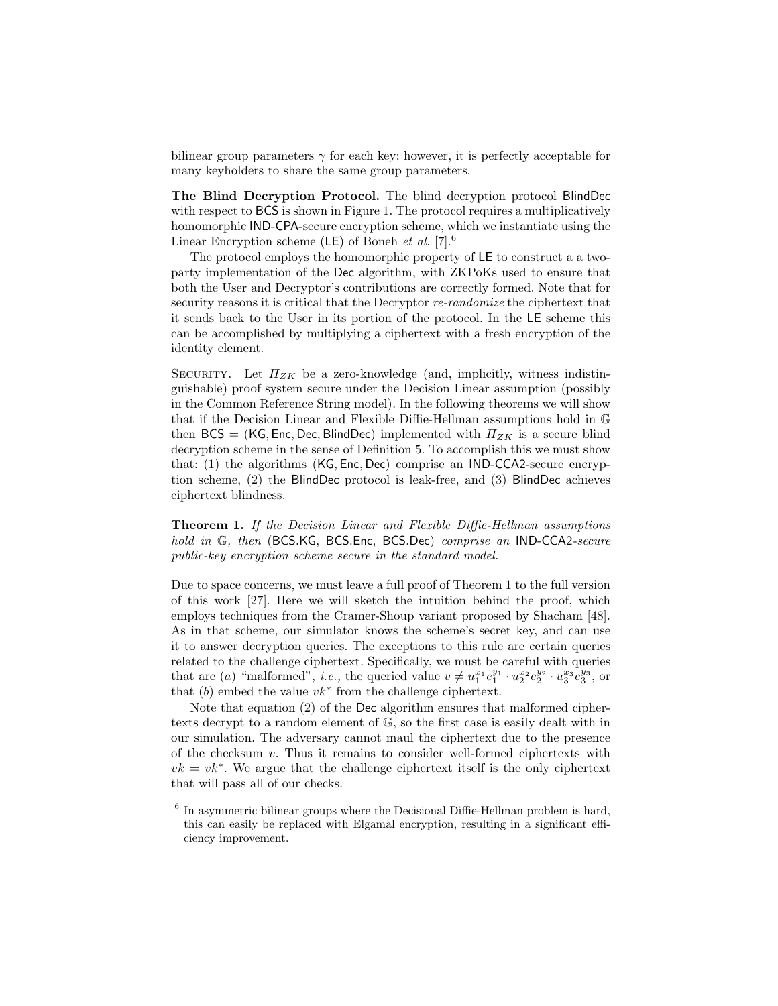bilinear group parameters  $\gamma$  for each key; however, it is perfectly acceptable for many keyholders to share the same group parameters.

The Blind Decryption Protocol. The blind decryption protocol BlindDec with respect to BCS is shown in Figure 1. The protocol requires a multiplicatively homomorphic IND-CPA-secure encryption scheme, which we instantiate using the Linear Encryption scheme  $(LE)$  of Boneh *et al.* [7].<sup>6</sup>

The protocol employs the homomorphic property of LE to construct a a twoparty implementation of the Dec algorithm, with ZKPoKs used to ensure that both the User and Decryptor's contributions are correctly formed. Note that for security reasons it is critical that the Decryptor re-randomize the ciphertext that it sends back to the User in its portion of the protocol. In the LE scheme this can be accomplished by multiplying a ciphertext with a fresh encryption of the identity element.

SECURITY. Let  $\Pi_{ZK}$  be a zero-knowledge (and, implicitly, witness indistinguishable) proof system secure under the Decision Linear assumption (possibly in the Common Reference String model). In the following theorems we will show that if the Decision Linear and Flexible Diffie-Hellman assumptions hold in G then BCS = (KG, Enc, Dec, BlindDec) implemented with  $\Pi_{ZK}$  is a secure blind decryption scheme in the sense of Definition 5. To accomplish this we must show that: (1) the algorithms (KG, Enc, Dec) comprise an IND-CCA2-secure encryption scheme, (2) the BlindDec protocol is leak-free, and (3) BlindDec achieves ciphertext blindness.

Theorem 1. If the Decision Linear and Flexible Diffie-Hellman assumptions hold in G, then (BCS.KG, BCS.Enc, BCS.Dec) comprise an IND-CCA2-secure public-key encryption scheme secure in the standard model.

Due to space concerns, we must leave a full proof of Theorem 1 to the full version of this work [27]. Here we will sketch the intuition behind the proof, which employs techniques from the Cramer-Shoup variant proposed by Shacham [48]. As in that scheme, our simulator knows the scheme's secret key, and can use it to answer decryption queries. The exceptions to this rule are certain queries related to the challenge ciphertext. Specifically, we must be careful with queries that are (a) "malformed", *i.e.*, the queried value  $v \neq u_1^{x_1}e_1^{y_1} \cdot u_2^{x_2}e_2^{y_2} \cdot u_3^{x_3}e_3^{y_3}$ , or that  $(b)$  embed the value  $vk^*$  from the challenge ciphertext.

Note that equation (2) of the Dec algorithm ensures that malformed ciphertexts decrypt to a random element of G, so the first case is easily dealt with in our simulation. The adversary cannot maul the ciphertext due to the presence of the checksum  $v$ . Thus it remains to consider well-formed ciphertexts with  $vk = vk^*$ . We argue that the challenge ciphertext itself is the only ciphertext that will pass all of our checks.

<sup>&</sup>lt;sup>6</sup> In asymmetric bilinear groups where the Decisional Diffie-Hellman problem is hard, this can easily be replaced with Elgamal encryption, resulting in a significant efficiency improvement.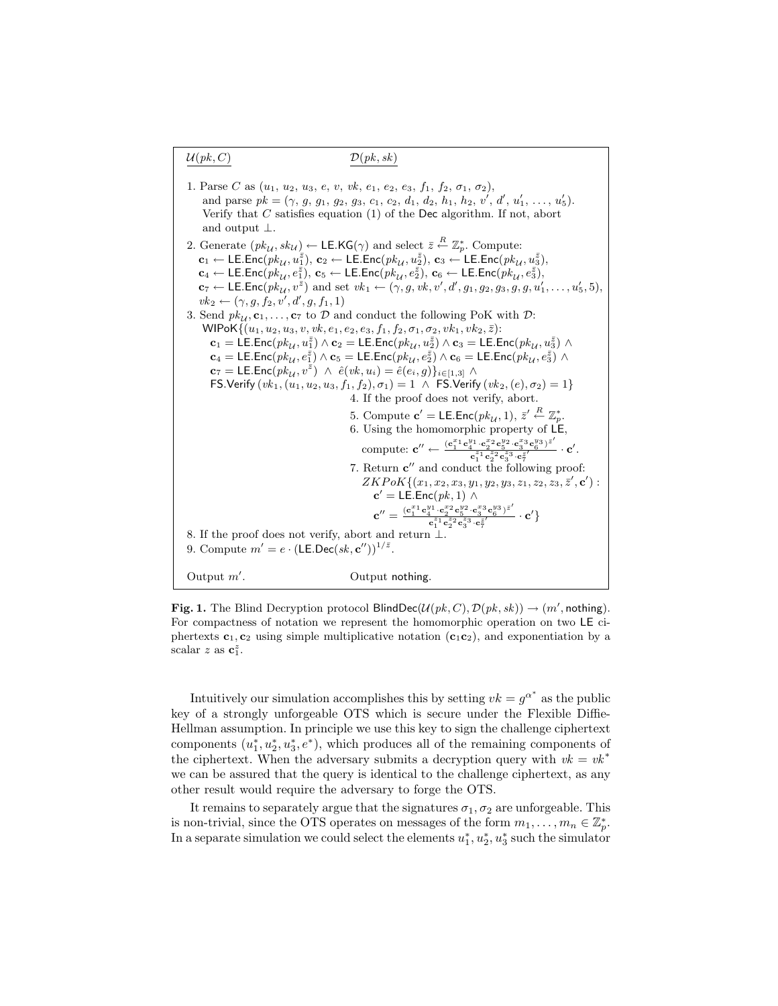$\mathcal{U}(pk, C)$   $\mathcal{D}(pk, sk)$ 1. Parse C as  $(u_1, u_2, u_3, e, v, vk, e_1, e_2, e_3, f_1, f_2, \sigma_1, \sigma_2),$ and parse  $pk = (\gamma, g, g_1, g_2, g_3, c_1, c_2, d_1, d_2, h_1, h_2, v', d', u'_1, ..., u'_5).$ Verify that  $C$  satisfies equation (1) of the Dec algorithm. If not, abort and output ⊥. 2. Generate  $(pk_{\mathcal{U}}, sk_{\mathcal{U}}) \leftarrow \mathsf{LE.KG}(\gamma)$  and select  $\bar{z} \stackrel{R}{\leftarrow} \mathbb{Z}_p^*$ . Compute:  $\mathbf{c}_1 \leftarrow \mathsf{LE}.\mathsf{Enc}(pk_{\mathcal{U}},u_1^{\bar{z}}),\, \mathbf{c}_2 \leftarrow \mathsf{LE}.\mathsf{Enc}(pk_{\mathcal{U}},u_2^{\bar{z}}),\, \mathbf{c}_3 \leftarrow \mathsf{LE}.\mathsf{Enc}(pk_{\mathcal{U}},u_3^{\bar{z}}),$  $\mathbf{c}_4 \leftarrow \mathsf{LE}.\mathsf{Enc}(pk_\mathcal{U},e_1^{\bar{z}}),\, \mathbf{c}_5 \leftarrow \mathsf{LE}.\mathsf{Enc}(pk_\mathcal{U},e_2^{\bar{z}}),\, \mathbf{c}_6 \leftarrow \mathsf{LE}.\mathsf{Enc}(pk_\mathcal{U},e_3^{\bar{z}}),$  $\mathbf{c}_7 \leftarrow \mathsf{LE}.\mathsf{Enc}(pk_{\mathcal{U}}, v^{\bar{z}})$  and set  $vk_1 \leftarrow (\gamma, g, vk, v', d', g_1, g_2, g_3, g, g, u'_1, \dots, u'_5, 5),$  $vk_2 \leftarrow (\gamma, g, f_2, v', d', g, f_1, 1)$ 3. Send  $pk_{\mathcal{U}}, \mathbf{c}_1, \ldots, \mathbf{c}_7$  to  $\mathcal{D}$  and conduct the following PoK with  $\mathcal{D}$ : WIPoK $\{(u_1, u_2, u_3, v, vk, e_1, e_2, e_3, f_1, f_2, \sigma_1, \sigma_2, vk_1, vk_2, \overline{z})$ :  ${\bf c}_1 = \mathsf{LE}.\mathsf{Enc}(pk_{\mathcal{U}},u_1^{\bar z}) \wedge {\bf c}_2 = \mathsf{LE}.\mathsf{Enc}(pk_{\mathcal{U}},u_2^{\bar z}) \wedge {\bf c}_3 = \mathsf{LE}.\mathsf{Enc}(pk_{\mathcal{U}},u_3^{\bar z}) \wedge$  $\mathbf{c}_4 = \mathsf{LE}.\mathsf{Enc}(pk_\mathcal{U},e_1^{\bar{z}}) \wedge \mathbf{c}_5 = \mathsf{LE}.\mathsf{Enc}(pk_\mathcal{U},e_2^{\bar{z}}) \wedge \mathbf{c}_6 = \mathsf{LE}.\mathsf{Enc}(pk_\mathcal{U},e_3^{\bar{z}}) \wedge$ **c**<sub>7</sub> = **LE.Enc**( $pk_{\mathcal{U}}$ ,  $v^{\bar{z}}$ ) ∧  $\hat{e}(vk, u_i) = \hat{e}(e_i, g)$ }<sub>i∈[1,3]</sub> ∧ FS. Verify  $(vk_1,(u_1,u_2,u_3,f_1,f_2),\sigma_1)=1 \wedge FS$ . Verify  $(vk_2,(e),\sigma_2)=1$ } 4. If the proof does not verify, abort. 5. Compute  $\mathbf{c}' = \mathsf{LE}.\mathsf{Enc}(pk_{\mathcal{U}}, 1), \, \bar{z}' \stackrel{R}{\leftarrow} \mathbb{Z}_p^*.$ 6. Using the homomorphic property of LE, compute:  $\mathbf{c}'' \leftarrow \frac{(\mathbf{c}_1^{x_1}\mathbf{c}_4^{y_1}\cdot\mathbf{c}_2^{x_2}\mathbf{c}_3^{y_2}\cdot\mathbf{c}_3^{x_3}\mathbf{c}_6^{y_3})^{\bar{z}'}}{z_1\cdot z_2\cdot z_3\cdot \frac{z}{z'}}$  $\mathbf{c}_1^{\bar z_1} \mathbf{c}_2^{\bar z_2} \mathbf{c}_3^{\bar z_3} \cdot \mathbf{c}_7^{\bar z'}$  $\cdot$  c'. 7. Return  $c''$  and conduct the following proof:  $ZKPoK\{(x_1, x_2, x_3, y_1, y_2, y_3, z_1, z_2, z_3, \overline{z}', \mathbf{c}')$ :  $\mathbf{c}' = \mathsf{LE}.\mathsf{Enc}(pk,1) \wedge \mathsf{Mod}(pk,1)$  $\mathbf{c}'' =$  $({\bf c}_{1}^{x_1}{\bf c}_{4}^{y_1}{\bf \cdot \hspace{-0.2em}} {\bf c}_{2}^{x_2}{\bf c}_{5}^{y_2}{\bf \cdot \hspace{-0.2em}} {\bf c}_{3}^{x_3}{\bf c}_{6}^{y_3})^{\bar z'}$  $\big\{ \frac{c_1^{(1)} \cdot c_2^{(2)} \cdot c_5^{(2)} \cdot c_3^{(3)} \cdot c_6^{(3)})^2}{c_1^{(2)} c_2^{(2)} c_3^{(3)} \cdot c_7^{(2)}} \cdot c' \big\}$ 8. If the proof does not verify, abort and return ⊥. 9. Compute  $m' = e \cdot (LE.Dec(sk, c''))^{1/\bar{z}}$ . Output  $m'$ . Output nothing.

Fig. 1. The Blind Decryption protocol BlindDec( $\mathcal{U}(pk, C), \mathcal{D}(pk, sk)$ )  $\rightarrow (m', \text{nothing})$ . For compactness of notation we represent the homomorphic operation on two LE ciphertexts  $c_1, c_2$  using simple multiplicative notation  $(c_1c_2)$ , and exponentiation by a scalar z as  $c_1^z$ .

Intuitively our simulation accomplishes this by setting  $vk = g^{\alpha^*}$  as the public key of a strongly unforgeable OTS which is secure under the Flexible Diffie-Hellman assumption. In principle we use this key to sign the challenge ciphertext components  $(u_1^*, u_2^*, u_3^*, e^*)$ , which produces all of the remaining components of the ciphertext. When the adversary submits a decryption query with  $vk = vk^*$ we can be assured that the query is identical to the challenge ciphertext, as any other result would require the adversary to forge the OTS.

It remains to separately argue that the signatures  $\sigma_1, \sigma_2$  are unforgeable. This is non-trivial, since the OTS operates on messages of the form  $m_1, \ldots, m_n \in \mathbb{Z}_p^*$ . In a separate simulation we could select the elements  $u_1^*, u_2^*, u_3^*$  such the simulator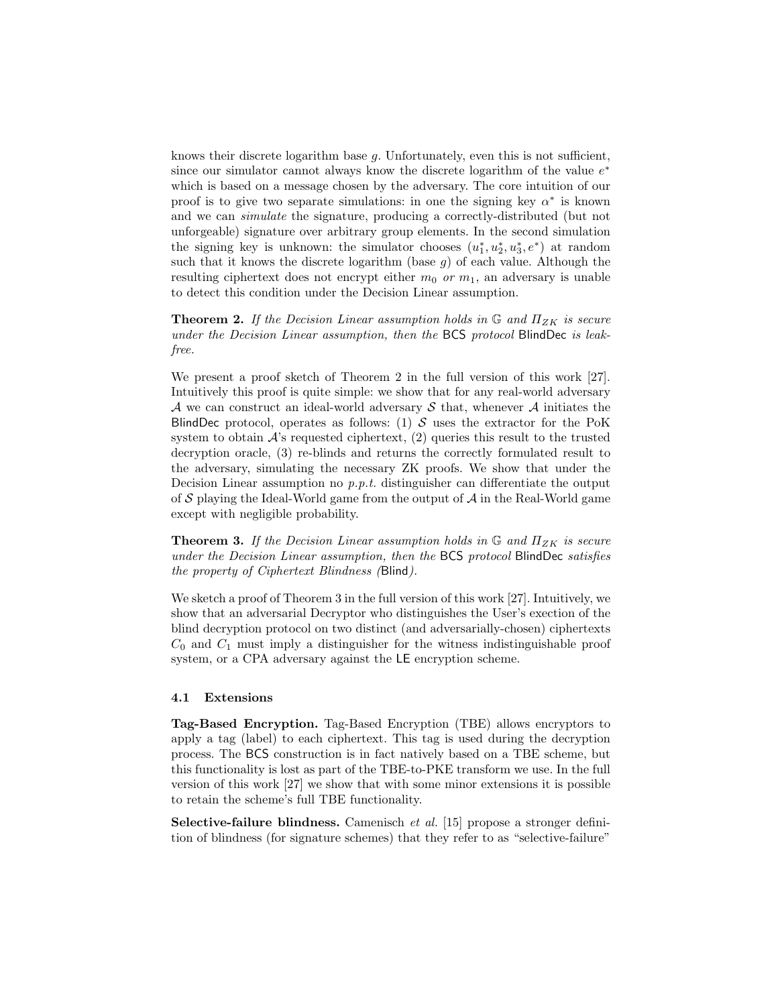knows their discrete logarithm base  $q$ . Unfortunately, even this is not sufficient, since our simulator cannot always know the discrete logarithm of the value  $e^*$ which is based on a message chosen by the adversary. The core intuition of our proof is to give two separate simulations: in one the signing key  $\alpha^*$  is known and we can simulate the signature, producing a correctly-distributed (but not unforgeable) signature over arbitrary group elements. In the second simulation the signing key is unknown: the simulator chooses  $(u_1^*, u_2^*, u_3^*, e^*)$  at random such that it knows the discrete logarithm (base  $g$ ) of each value. Although the resulting ciphertext does not encrypt either  $m_0$  or  $m_1$ , an adversary is unable to detect this condition under the Decision Linear assumption.

**Theorem 2.** If the Decision Linear assumption holds in  $\mathbb{G}$  and  $\Pi_{ZK}$  is secure under the Decision Linear assumption, then the BCS protocol BlindDec is leakfree.

We present a proof sketch of Theorem 2 in the full version of this work [27]. Intuitively this proof is quite simple: we show that for any real-world adversary A we can construct an ideal-world adversary S that, whenever A initiates the BlindDec protocol, operates as follows: (1)  $\mathcal S$  uses the extractor for the PoK system to obtain  $A$ 's requested ciphertext,  $(2)$  queries this result to the trusted decryption oracle, (3) re-blinds and returns the correctly formulated result to the adversary, simulating the necessary ZK proofs. We show that under the Decision Linear assumption no  $p.p.t.$  distinguisher can differentiate the output of S playing the Ideal-World game from the output of  $\mathcal A$  in the Real-World game except with negligible probability.

**Theorem 3.** If the Decision Linear assumption holds in  $\mathbb{G}$  and  $\Pi_{ZK}$  is secure under the Decision Linear assumption, then the BCS protocol BlindDec satisfies the property of Ciphertext Blindness (Blind).

We sketch a proof of Theorem 3 in the full version of this work [27]. Intuitively, we show that an adversarial Decryptor who distinguishes the User's exection of the blind decryption protocol on two distinct (and adversarially-chosen) ciphertexts  $C_0$  and  $C_1$  must imply a distinguisher for the witness indistinguishable proof system, or a CPA adversary against the LE encryption scheme.

#### 4.1 Extensions

Tag-Based Encryption. Tag-Based Encryption (TBE) allows encryptors to apply a tag (label) to each ciphertext. This tag is used during the decryption process. The BCS construction is in fact natively based on a TBE scheme, but this functionality is lost as part of the TBE-to-PKE transform we use. In the full version of this work [27] we show that with some minor extensions it is possible to retain the scheme's full TBE functionality.

Selective-failure blindness. Camenisch et al. [15] propose a stronger definition of blindness (for signature schemes) that they refer to as "selective-failure"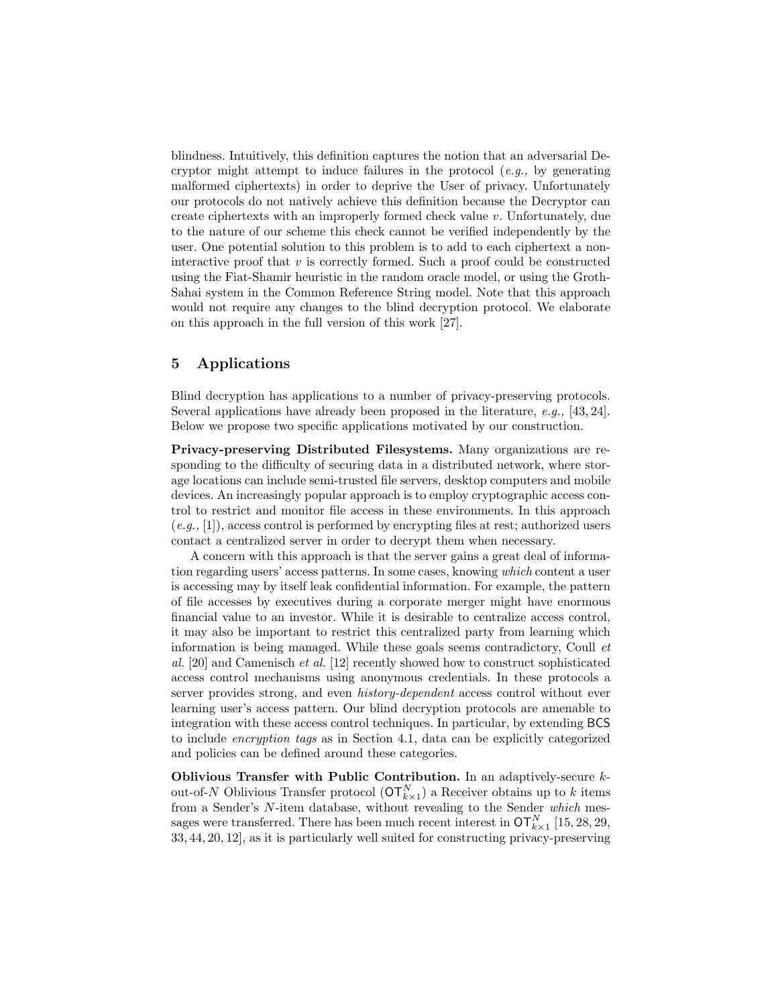blindness. Intuitively, this definition captures the notion that an adversarial Decryptor might attempt to induce failures in the protocol (e.g., by generating malformed ciphertexts) in order to deprive the User of privacy. Unfortunately our protocols do not natively achieve this definition because the Decryptor can create ciphertexts with an improperly formed check value v. Unfortunately, due to the nature of our scheme this check cannot be verified independently by the user. One potential solution to this problem is to add to each ciphertext a noninteractive proof that  $v$  is correctly formed. Such a proof could be constructed using the Fiat-Shamir heuristic in the random oracle model, or using the Groth-Sahai system in the Common Reference String model. Note that this approach would not require any changes to the blind decryption protocol. We elaborate on this approach in the full version of this work [27].

## 5 Applications

Blind decryption has applications to a number of privacy-preserving protocols. Several applications have already been proposed in the literature, e.g., [43, 24]. Below we propose two specific applications motivated by our construction.

Privacy-preserving Distributed Filesystems. Many organizations are responding to the difficulty of securing data in a distributed network, where storage locations can include semi-trusted file servers, desktop computers and mobile devices. An increasingly popular approach is to employ cryptographic access control to restrict and monitor file access in these environments. In this approach  $(e.g., [1])$ , access control is performed by encrypting files at rest; authorized users contact a centralized server in order to decrypt them when necessary.

A concern with this approach is that the server gains a great deal of information regarding users' access patterns. In some cases, knowing which content a user is accessing may by itself leak confidential information. For example, the pattern of file accesses by executives during a corporate merger might have enormous financial value to an investor. While it is desirable to centralize access control, it may also be important to restrict this centralized party from learning which information is being managed. While these goals seems contradictory, Coull et al. [20] and Camenisch et al. [12] recently showed how to construct sophisticated access control mechanisms using anonymous credentials. In these protocols a server provides strong, and even history-dependent access control without ever learning user's access pattern. Our blind decryption protocols are amenable to integration with these access control techniques. In particular, by extending BCS to include encryption tags as in Section 4.1, data can be explicitly categorized and policies can be defined around these categories.

Oblivious Transfer with Public Contribution. In an adaptively-secure kout-of-N Oblivious Transfer protocol  $(\mathsf{OT}_{k\times 1}^N)$  a Receiver obtains up to k items from a Sender's N-item database, without revealing to the Sender which messages were transferred. There has been much recent interest in  $\mathsf{OT}_{k\times 1}^N$  [15, 28, 29, 33, 44, 20, 12], as it is particularly well suited for constructing privacy-preserving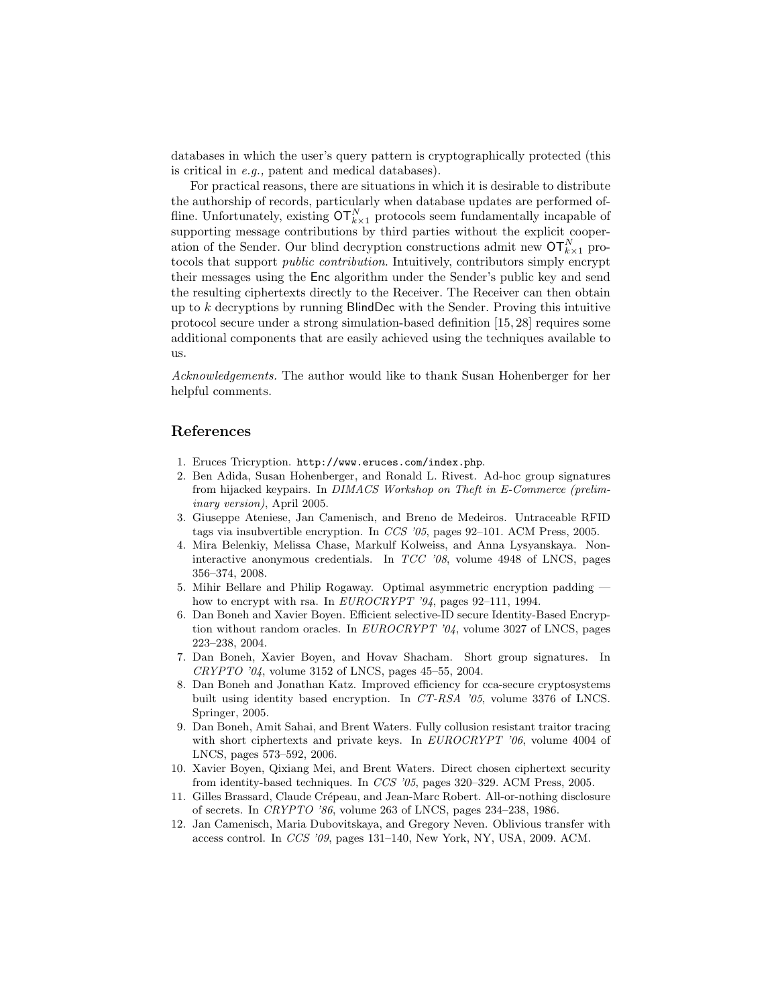databases in which the user's query pattern is cryptographically protected (this is critical in e.g., patent and medical databases).

For practical reasons, there are situations in which it is desirable to distribute the authorship of records, particularly when database updates are performed offline. Unfortunately, existing  $\mathsf{OT}_{k\times 1}^N$  protocols seem fundamentally incapable of supporting message contributions by third parties without the explicit cooperation of the Sender. Our blind decryption constructions admit new  $\mathsf{OT}_{k\times 1}^N$  protocols that support public contribution. Intuitively, contributors simply encrypt their messages using the Enc algorithm under the Sender's public key and send the resulting ciphertexts directly to the Receiver. The Receiver can then obtain up to  $k$  decryptions by running  $\mathsf{BlindDec}$  with the Sender. Proving this intuitive protocol secure under a strong simulation-based definition [15, 28] requires some additional components that are easily achieved using the techniques available to us.

Acknowledgements. The author would like to thank Susan Hohenberger for her helpful comments.

### References

- 1. Eruces Tricryption. http://www.eruces.com/index.php.
- 2. Ben Adida, Susan Hohenberger, and Ronald L. Rivest. Ad-hoc group signatures from hijacked keypairs. In DIMACS Workshop on Theft in E-Commerce (preliminary version), April 2005.
- 3. Giuseppe Ateniese, Jan Camenisch, and Breno de Medeiros. Untraceable RFID tags via insubvertible encryption. In CCS '05, pages 92–101. ACM Press, 2005.
- 4. Mira Belenkiy, Melissa Chase, Markulf Kolweiss, and Anna Lysyanskaya. Noninteractive anonymous credentials. In TCC '08, volume 4948 of LNCS, pages 356–374, 2008.
- 5. Mihir Bellare and Philip Rogaway. Optimal asymmetric encryption padding how to encrypt with rsa. In EUROCRYPT '94, pages 92-111, 1994.
- 6. Dan Boneh and Xavier Boyen. Efficient selective-ID secure Identity-Based Encryption without random oracles. In EUROCRYPT '04, volume 3027 of LNCS, pages 223–238, 2004.
- 7. Dan Boneh, Xavier Boyen, and Hovav Shacham. Short group signatures. In CRYPTO '04, volume 3152 of LNCS, pages 45–55, 2004.
- 8. Dan Boneh and Jonathan Katz. Improved efficiency for cca-secure cryptosystems built using identity based encryption. In CT-RSA '05, volume 3376 of LNCS. Springer, 2005.
- 9. Dan Boneh, Amit Sahai, and Brent Waters. Fully collusion resistant traitor tracing with short ciphertexts and private keys. In EUROCRYPT '06, volume 4004 of LNCS, pages 573–592, 2006.
- 10. Xavier Boyen, Qixiang Mei, and Brent Waters. Direct chosen ciphertext security from identity-based techniques. In CCS '05, pages 320–329. ACM Press, 2005.
- 11. Gilles Brassard, Claude Crépeau, and Jean-Marc Robert. All-or-nothing disclosure of secrets. In CRYPTO '86, volume 263 of LNCS, pages 234–238, 1986.
- 12. Jan Camenisch, Maria Dubovitskaya, and Gregory Neven. Oblivious transfer with access control. In CCS '09, pages 131–140, New York, NY, USA, 2009. ACM.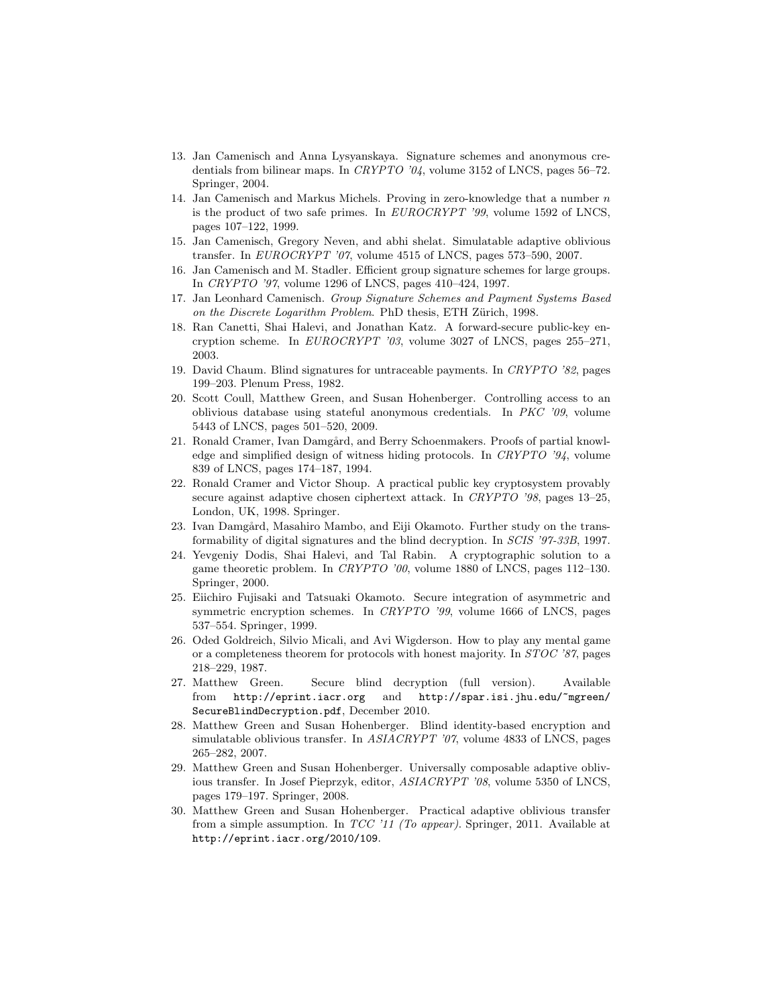- 13. Jan Camenisch and Anna Lysyanskaya. Signature schemes and anonymous credentials from bilinear maps. In CRYPTO '04, volume 3152 of LNCS, pages 56–72. Springer, 2004.
- 14. Jan Camenisch and Markus Michels. Proving in zero-knowledge that a number  $n$ is the product of two safe primes. In EUROCRYPT '99, volume 1592 of LNCS, pages 107–122, 1999.
- 15. Jan Camenisch, Gregory Neven, and abhi shelat. Simulatable adaptive oblivious transfer. In EUROCRYPT '07, volume 4515 of LNCS, pages 573–590, 2007.
- 16. Jan Camenisch and M. Stadler. Efficient group signature schemes for large groups. In CRYPTO '97, volume 1296 of LNCS, pages 410–424, 1997.
- 17. Jan Leonhard Camenisch. Group Signature Schemes and Payment Systems Based on the Discrete Logarithm Problem. PhD thesis, ETH Zürich, 1998.
- 18. Ran Canetti, Shai Halevi, and Jonathan Katz. A forward-secure public-key encryption scheme. In EUROCRYPT '03, volume 3027 of LNCS, pages 255–271, 2003.
- 19. David Chaum. Blind signatures for untraceable payments. In CRYPTO '82, pages 199–203. Plenum Press, 1982.
- 20. Scott Coull, Matthew Green, and Susan Hohenberger. Controlling access to an oblivious database using stateful anonymous credentials. In PKC '09, volume 5443 of LNCS, pages 501–520, 2009.
- 21. Ronald Cramer, Ivan Damgård, and Berry Schoenmakers. Proofs of partial knowledge and simplified design of witness hiding protocols. In CRYPTO '94, volume 839 of LNCS, pages 174–187, 1994.
- 22. Ronald Cramer and Victor Shoup. A practical public key cryptosystem provably secure against adaptive chosen ciphertext attack. In CRYPTO '98, pages 13–25, London, UK, 1998. Springer.
- 23. Ivan Damgård, Masahiro Mambo, and Eiji Okamoto. Further study on the transformability of digital signatures and the blind decryption. In SCIS '97-33B, 1997.
- 24. Yevgeniy Dodis, Shai Halevi, and Tal Rabin. A cryptographic solution to a game theoretic problem. In CRYPTO '00, volume 1880 of LNCS, pages 112–130. Springer, 2000.
- 25. Eiichiro Fujisaki and Tatsuaki Okamoto. Secure integration of asymmetric and symmetric encryption schemes. In CRYPTO '99, volume 1666 of LNCS, pages 537–554. Springer, 1999.
- 26. Oded Goldreich, Silvio Micali, and Avi Wigderson. How to play any mental game or a completeness theorem for protocols with honest majority. In STOC '87, pages 218–229, 1987.
- 27. Matthew Green. Secure blind decryption (full version). Available from http://eprint.iacr.org and http://spar.isi.jhu.edu/~mgreen/ SecureBlindDecryption.pdf, December 2010.
- 28. Matthew Green and Susan Hohenberger. Blind identity-based encryption and simulatable oblivious transfer. In ASIACRYPT '07, volume 4833 of LNCS, pages 265–282, 2007.
- 29. Matthew Green and Susan Hohenberger. Universally composable adaptive oblivious transfer. In Josef Pieprzyk, editor, ASIACRYPT '08, volume 5350 of LNCS, pages 179–197. Springer, 2008.
- 30. Matthew Green and Susan Hohenberger. Practical adaptive oblivious transfer from a simple assumption. In  $TCC'$  '11 (To appear). Springer, 2011. Available at http://eprint.iacr.org/2010/109.